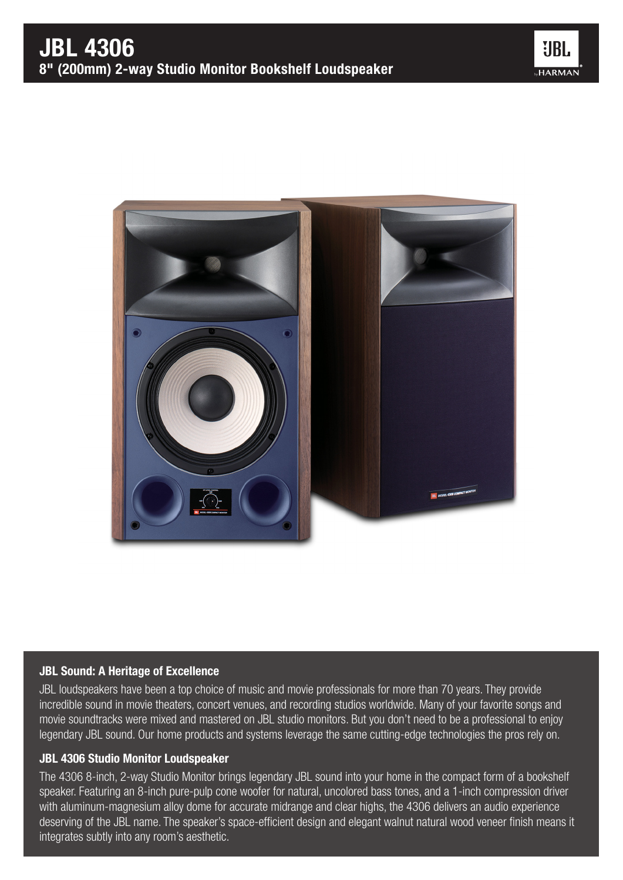



## JBL Sound: A Heritage of Excellence

JBL loudspeakers have been a top choice of music and movie professionals for more than 70 years. They provide incredible sound in movie theaters, concert venues, and recording studios worldwide. Many of your favorite songs and movie soundtracks were mixed and mastered on JBL studio monitors. But you don't need to be a professional to enjoy legendary JBL sound. Our home products and systems leverage the same cutting-edge technologies the pros rely on.

## JBL 4306 Studio Monitor Loudspeaker

The 4306 8-inch, 2-way Studio Monitor brings legendary JBL sound into your home in the compact form of a bookshelf speaker. Featuring an 8-inch pure-pulp cone woofer for natural, uncolored bass tones, and a 1-inch compression driver with aluminum-magnesium alloy dome for accurate midrange and clear highs, the 4306 delivers an audio experience deserving of the JBL name. The speaker's space-efficient design and elegant walnut natural wood veneer finish means it integrates subtly into any room's aesthetic.